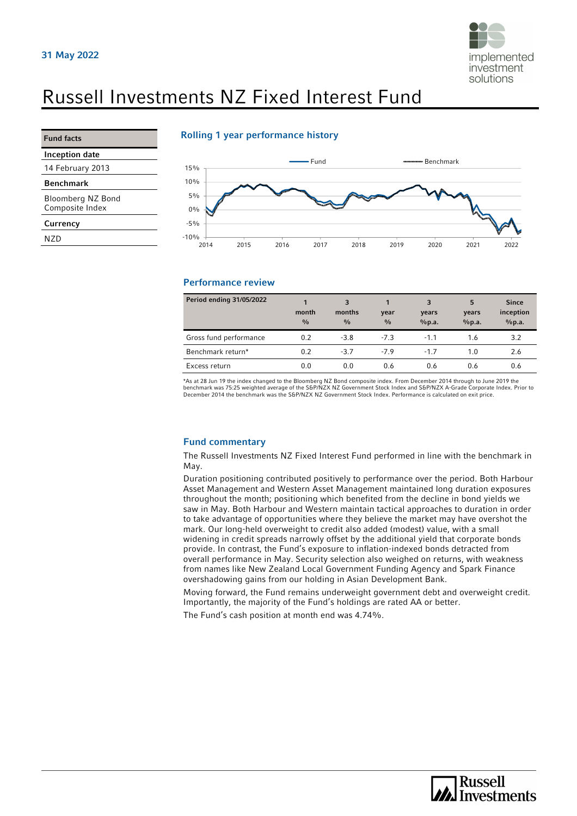

# Russell Investments NZ Fixed Interest Fund

| <b>Fund facts</b> |
|-------------------|
|                   |
|                   |

**Currency** NZD

Inception date 14 February 2013 Benchmark

Bloomberg NZ Bond Composite Index

## Rolling 1 year performance history



### Performance review

| Period ending 31/05/2022 | month<br>$\frac{0}{0}$ | 3<br>months<br>$\frac{0}{0}$ | year<br>$\frac{0}{0}$ | 3<br>years<br>%p.a. | 5<br>years<br>%p.a. | <b>Since</b><br>inception<br>%p.a. |
|--------------------------|------------------------|------------------------------|-----------------------|---------------------|---------------------|------------------------------------|
| Gross fund performance   | 0.2                    | $-3.8$                       | $-7.3$                | $-1.1$              | 1.6                 | 3.2                                |
| Benchmark return*        | 0.2                    | $-3.7$                       | $-7.9$                | $-1.7$              | 1.0                 | 2.6                                |
| Excess return            | 0.0                    | 0.0                          | 0.6                   | 0.6                 | 0.6                 | 0.6                                |

\*As at 28 Jun 19 the index changed to the Bloomberg NZ Bond composite index. From December 2014 through to June 2019 the benchmark was 75:25 weighted average of the S&P/NZX NZ Government Stock Index and S&P/NZX A-Grade Corporate Index. Prior to<br>December 2014 the benchmark was the S&P/NZX NZ Government Stock Index. Performance is calculated o

#### Fund commentary

The Russell Investments NZ Fixed Interest Fund performed in line with the benchmark in May.

Duration positioning contributed positively to performance over the period. Both Harbour Asset Management and Western Asset Management maintained long duration exposures throughout the month; positioning which benefited from the decline in bond yields we saw in May. Both Harbour and Western maintain tactical approaches to duration in order to take advantage of opportunities where they believe the market may have overshot the mark. Our long-held overweight to credit also added (modest) value, with a small widening in credit spreads narrowly offset by the additional yield that corporate bonds provide. In contrast, the Fund's exposure to inflation-indexed bonds detracted from overall performance in May. Security selection also weighed on returns, with weakness from names like New Zealand Local Government Funding Agency and Spark Finance overshadowing gains from our holding in Asian Development Bank.

Moving forward, the Fund remains underweight government debt and overweight credit. Importantly, the majority of the Fund's holdings are rated AA or better.

The Fund's cash position at month end was 4.74%.